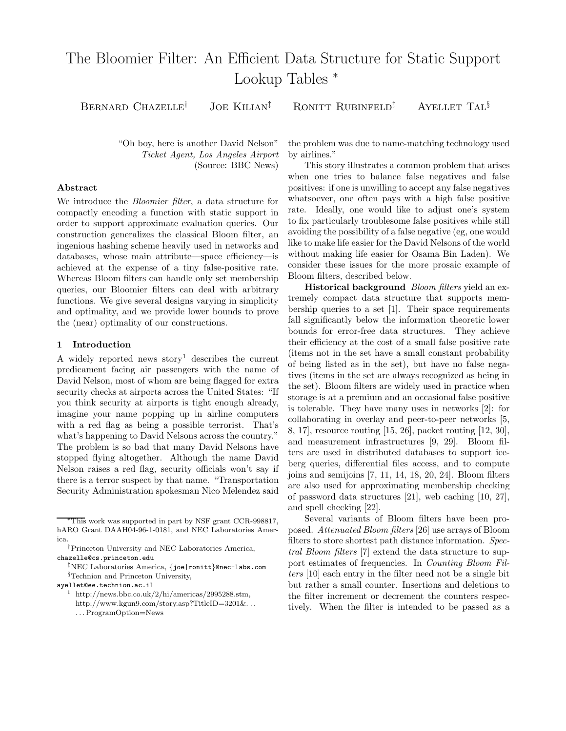# The Bloomier Filter: An Efficient Data Structure for Static Support Lookup Tables <sup>∗</sup>

BERNARD CHAZELLE<sup>†</sup> JOE KILIAN<sup>‡</sup> RONITT RUBINFELD<sup>‡</sup> AYELLET TAL<sup>§</sup>

"Oh boy, here is another David Nelson" Ticket Agent, Los Angeles Airport (Source: BBC News)

### Abstract

We introduce the Bloomier filter, a data structure for compactly encoding a function with static support in order to support approximate evaluation queries. Our construction generalizes the classical Bloom filter, an ingenious hashing scheme heavily used in networks and databases, whose main attribute—space efficiency—is achieved at the expense of a tiny false-positive rate. Whereas Bloom filters can handle only set membership queries, our Bloomier filters can deal with arbitrary functions. We give several designs varying in simplicity and optimality, and we provide lower bounds to prove the (near) optimality of our constructions.

## 1 Introduction

A widely reported news story<sup>1</sup> describes the current predicament facing air passengers with the name of David Nelson, most of whom are being flagged for extra security checks at airports across the United States: "If you think security at airports is tight enough already, imagine your name popping up in airline computers with a red flag as being a possible terrorist. That's what's happening to David Nelsons across the country." The problem is so bad that many David Nelsons have stopped flying altogether. Although the name David Nelson raises a red flag, security officials won't say if there is a terror suspect by that name. "Transportation Security Administration spokesman Nico Melendez said

‡NEC Laboratories America, {joe|ronitt}@nec-labs.com §Technion and Princeton University,

- ayellet@ee.technion.ac.il
	- <sup>1</sup> http://news.bbc.co.uk/2/hi/americas/2995288.stm, http://www.kgun9.com/story.asp?TitleID=3201&. . .
		- . . . ProgramOption=News

the problem was due to name-matching technology used by airlines."

This story illustrates a common problem that arises when one tries to balance false negatives and false positives: if one is unwilling to accept any false negatives whatsoever, one often pays with a high false positive rate. Ideally, one would like to adjust one's system to fix particularly troublesome false positives while still avoiding the possibility of a false negative (eg, one would like to make life easier for the David Nelsons of the world without making life easier for Osama Bin Laden). We consider these issues for the more prosaic example of Bloom filters, described below.

**Historical background** *Bloom filters* yield an extremely compact data structure that supports membership queries to a set [1]. Their space requirements fall significantly below the information theoretic lower bounds for error-free data structures. They achieve their efficiency at the cost of a small false positive rate (items not in the set have a small constant probability of being listed as in the set), but have no false negatives (items in the set are always recognized as being in the set). Bloom filters are widely used in practice when storage is at a premium and an occasional false positive is tolerable. They have many uses in networks [2]: for collaborating in overlay and peer-to-peer networks [5, 8, 17], resource routing [15, 26], packet routing [12, 30], and measurement infrastructures [9, 29]. Bloom filters are used in distributed databases to support iceberg queries, differential files access, and to compute joins and semijoins [7, 11, 14, 18, 20, 24]. Bloom filters are also used for approximating membership checking of password data structures [21], web caching [10, 27], and spell checking [22].

Several variants of Bloom filters have been proposed. Attenuated Bloom filters [26] use arrays of Bloom filters to store shortest path distance information. Spectral Bloom filters [7] extend the data structure to support estimates of frequencies. In Counting Bloom Filters [10] each entry in the filter need not be a single bit but rather a small counter. Insertions and deletions to the filter increment or decrement the counters respectively. When the filter is intended to be passed as a

<sup>∗</sup>This work was supported in part by NSF grant CCR-998817, hARO Grant DAAH04-96-1-0181, and NEC Laboratories America.

<sup>†</sup>Princeton University and NEC Laboratories America, chazelle@cs.princeton.edu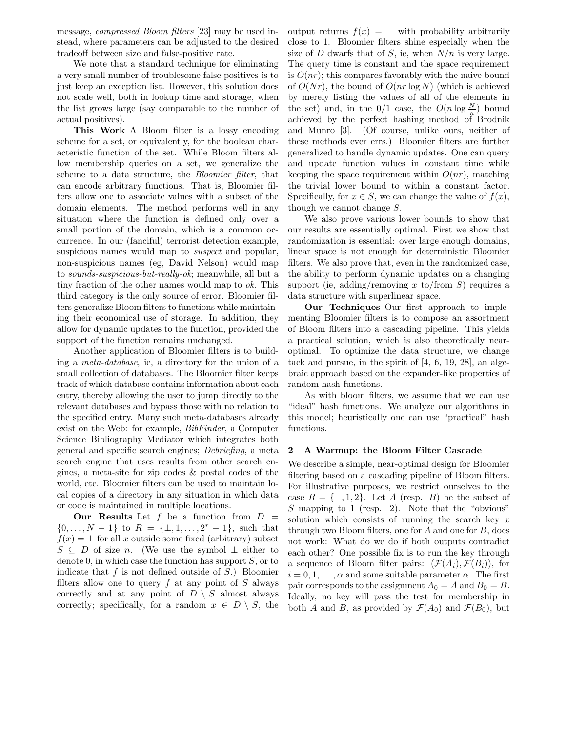message, compressed Bloom filters [23] may be used instead, where parameters can be adjusted to the desired tradeoff between size and false-positive rate.

We note that a standard technique for eliminating a very small number of troublesome false positives is to just keep an exception list. However, this solution does not scale well, both in lookup time and storage, when the list grows large (say comparable to the number of actual positives).

This Work A Bloom filter is a lossy encoding scheme for a set, or equivalently, for the boolean characteristic function of the set. While Bloom filters allow membership queries on a set, we generalize the scheme to a data structure, the Bloomier filter, that can encode arbitrary functions. That is, Bloomier filters allow one to associate values with a subset of the domain elements. The method performs well in any situation where the function is defined only over a small portion of the domain, which is a common occurrence. In our (fanciful) terrorist detection example, suspicious names would map to *suspect* and popular, non-suspicious names (eg, David Nelson) would map to sounds-suspicious-but-really-ok; meanwhile, all but a tiny fraction of the other names would map to ok. This third category is the only source of error. Bloomier filters generalize Bloom filters to functions while maintaining their economical use of storage. In addition, they allow for dynamic updates to the function, provided the support of the function remains unchanged.

Another application of Bloomier filters is to building a meta-database, ie, a directory for the union of a small collection of databases. The Bloomier filter keeps track of which database contains information about each entry, thereby allowing the user to jump directly to the relevant databases and bypass those with no relation to the specified entry. Many such meta-databases already exist on the Web: for example, BibFinder, a Computer Science Bibliography Mediator which integrates both general and specific search engines; Debriefing, a meta search engine that uses results from other search engines, a meta-site for zip codes & postal codes of the world, etc. Bloomier filters can be used to maintain local copies of a directory in any situation in which data or code is maintained in multiple locations.

Our Results Let  $f$  be a function from  $D =$  $\{0, \ldots, N-1\}$  to  $R = \{\perp, 1, \ldots, 2^r - 1\}$ , such that  $f(x) = \perp$  for all x outside some fixed (arbitrary) subset  $S \subseteq D$  of size n. (We use the symbol  $\perp$  either to denote 0, in which case the function has support  $S$ , or to indicate that  $f$  is not defined outside of  $S$ .) Bloomier filters allow one to query  $f$  at any point of  $S$  always correctly and at any point of  $D \setminus S$  almost always correctly; specifically, for a random  $x \in D \setminus S$ , the

output returns  $f(x) = \perp$  with probability arbitrarily close to 1. Bloomier filters shine especially when the size of D dwarfs that of S, ie, when  $N/n$  is very large. The query time is constant and the space requirement is  $O(nr)$ ; this compares favorably with the naive bound of  $O(Nr)$ , the bound of  $O(nr \log N)$  (which is achieved by merely listing the values of all of the elements in the set) and, in the  $0/1$  case, the  $O(n \log \frac{N}{n})$  bound achieved by the perfect hashing method of Brodnik and Munro [3]. (Of course, unlike ours, neither of these methods ever errs.) Bloomier filters are further generalized to handle dynamic updates. One can query and update function values in constant time while keeping the space requirement within  $O(nr)$ , matching the trivial lower bound to within a constant factor. Specifically, for  $x \in S$ , we can change the value of  $f(x)$ , though we cannot change S.

We also prove various lower bounds to show that our results are essentially optimal. First we show that randomization is essential: over large enough domains, linear space is not enough for deterministic Bloomier filters. We also prove that, even in the randomized case, the ability to perform dynamic updates on a changing support (ie, adding/removing x to/from  $S$ ) requires a data structure with superlinear space.

Our Techniques Our first approach to implementing Bloomier filters is to compose an assortment of Bloom filters into a cascading pipeline. This yields a practical solution, which is also theoretically nearoptimal. To optimize the data structure, we change tack and pursue, in the spirit of [4, 6, 19, 28], an algebraic approach based on the expander-like properties of random hash functions.

As with bloom filters, we assume that we can use "ideal" hash functions. We analyze our algorithms in this model; heuristically one can use "practical" hash functions.

#### 2 A Warmup: the Bloom Filter Cascade

We describe a simple, near-optimal design for Bloomier filtering based on a cascading pipeline of Bloom filters. For illustrative purposes, we restrict ourselves to the case  $R = \{\perp, 1, 2\}$ . Let A (resp. B) be the subset of S mapping to 1 (resp. 2). Note that the "obvious" solution which consists of running the search key  $x$ through two Bloom filters, one for A and one for B, does not work: What do we do if both outputs contradict each other? One possible fix is to run the key through a sequence of Bloom filter pairs:  $(\mathcal{F}(A_i), \mathcal{F}(B_i))$ , for  $i = 0, 1, \ldots, \alpha$  and some suitable parameter  $\alpha$ . The first pair corresponds to the assignment  $A_0 = A$  and  $B_0 = B$ . Ideally, no key will pass the test for membership in both A and B, as provided by  $\mathcal{F}(A_0)$  and  $\mathcal{F}(B_0)$ , but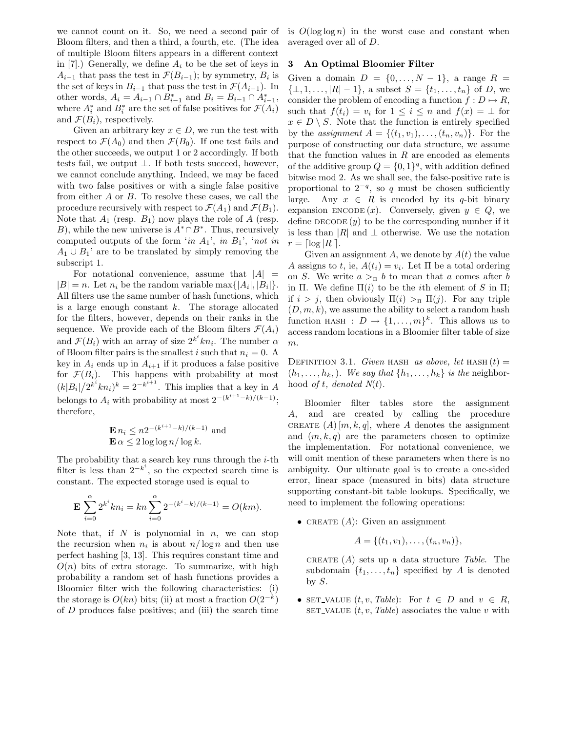we cannot count on it. So, we need a second pair of Bloom filters, and then a third, a fourth, etc. (The idea of multiple Bloom filters appears in a different context in [7].) Generally, we define  $A_i$  to be the set of keys in  $A_{i-1}$  that pass the test in  $\mathcal{F}(B_{i-1})$ ; by symmetry,  $B_i$  is the set of keys in  $B_{i-1}$  that pass the test in  $\mathcal{F}(A_{i-1})$ . In other words,  $A_i = A_{i-1} \cap B_{i-1}^*$  and  $B_i = B_{i-1} \cap A_{i-1}^*$ , where  $A_i^*$  and  $B_i^*$  are the set of false positives for  $\mathcal{F}(A_i)$ and  $\mathcal{F}(B_i)$ , respectively.

Given an arbitrary key  $x \in D$ , we run the test with respect to  $\mathcal{F}(A_0)$  and then  $\mathcal{F}(B_0)$ . If one test fails and the other succeeds, we output 1 or 2 accordingly. If both tests fail, we output  $\bot$ . If both tests succeed, however, we cannot conclude anything. Indeed, we may be faced with two false positives or with a single false positive from either A or B. To resolve these cases, we call the procedure recursively with respect to  $\mathcal{F}(A_1)$  and  $\mathcal{F}(B_1)$ . Note that  $A_1$  (resp.  $B_1$ ) now plays the role of A (resp. B), while the new universe is  $A^* \cap B^*$ . Thus, recursively computed outputs of the form 'in  $A_1$ ', in  $B_1$ ', 'not in  $A_1 \cup B_1$ ' are to be translated by simply removing the subscript 1.

For notational convenience, assume that  $|A|$  =  $|B| = n$ . Let  $n_i$  be the random variable max $\{|A_i|, |B_i|\}.$ All filters use the same number of hash functions, which is a large enough constant  $k$ . The storage allocated for the filters, however, depends on their ranks in the sequence. We provide each of the Bloom filters  $\mathcal{F}(A_i)$ and  $\mathcal{F}(B_i)$  with an array of size  $2^{k^i} kn_i$ . The number  $\alpha$ of Bloom filter pairs is the smallest i such that  $n_i = 0$ . A key in  $A_i$  ends up in  $A_{i+1}$  if it produces a false positive for  $\mathcal{F}(B_i)$ . This happens with probability at most  $(k|B_i|/2^{k^i}kn_i)^k = 2^{-k^{i+1}}$ . This implies that a key in A belongs to  $A_i$  with probability at most  $2^{-(k^{i+1}-k)/(k-1)}$ ; therefore,

$$
\mathbf{E} n_i \le n2^{-(k^{i+1}-k)/(k-1)}
$$
 and  

$$
\mathbf{E} \alpha \le 2 \log \log n / \log k.
$$

The probability that a search key runs through the  $i$ -th filter is less than  $2^{-k^i}$ , so the expected search time is constant. The expected storage used is equal to

$$
\mathbf{E} \sum_{i=0}^{\alpha} 2^{k^i} k n_i = k n \sum_{i=0}^{\alpha} 2^{-(k^i - k)/(k-1)} = O(km).
$$

Note that, if  $N$  is polynomial in  $n$ , we can stop the recursion when  $n_i$  is about  $n/\log n$  and then use perfect hashing [3, 13]. This requires constant time and  $O(n)$  bits of extra storage. To summarize, with high probability a random set of hash functions provides a Bloomier filter with the following characteristics: (i) the storage is  $O(kn)$  bits; (ii) at most a fraction  $O(2^{-k})$ of  $D$  produces false positives; and (iii) the search time

is  $O(\log \log n)$  in the worst case and constant when averaged over all of D.

#### 3 An Optimal Bloomier Filter

Given a domain  $D = \{0, \ldots, N-1\}$ , a range  $R =$  $\{\perp, 1, \ldots, |R| - 1\}$ , a subset  $S = \{t_1, \ldots, t_n\}$  of D, we consider the problem of encoding a function  $f: D \mapsto R$ , such that  $f(t_i) = v_i$  for  $1 \leq i \leq n$  and  $f(x) = \perp$  for  $x \in D \setminus S$ . Note that the function is entirely specified by the assignment  $A = \{(t_1, v_1), \ldots, (t_n, v_n)\}.$  For the purpose of constructing our data structure, we assume that the function values in  $R$  are encoded as elements of the additive group  $Q = \{0, 1\}^q$ , with addition defined bitwise mod 2. As we shall see, the false-positive rate is proportional to  $2^{-q}$ , so q must be chosen sufficiently large. Any  $x \in R$  is encoded by its q-bit binary expansion ENCODE  $(x)$ . Conversely, given  $y \in Q$ , we define  $\text{DECODE}(y)$  to be the corresponding number if it is less than  $|R|$  and  $\perp$  otherwise. We use the notation  $r = \lceil \log |R| \rceil$ .

Given an assignment A, we denote by  $A(t)$  the value A assigns to t, ie,  $A(t_i) = v_i$ . Let  $\Pi$  be a total ordering on S. We write  $a >_{\Pi} b$  to mean that a comes after b in Π. We define  $\Pi(i)$  to be the *i*th element of S in  $\Pi$ ; if  $i > j$ , then obviously  $\Pi(i) >_{\Pi} \Pi(j)$ . For any triple  $(D, m, k)$ , we assume the ability to select a random hash function HASH :  $D \to \{1, ..., m\}^k$ . This allows us to access random locations in a Bloomier filter table of size  $m$ .

DEFINITION 3.1. Given HASH as above, let HASH  $(t)$  =  $(h_1, \ldots, h_k)$ . We say that  $\{h_1, \ldots, h_k\}$  is the neighborhood of t, denoted  $N(t)$ .

Bloomier filter tables store the assignment A, and are created by calling the procedure CREATE  $(A)[m, k, q]$ , where A denotes the assignment and  $(m, k, q)$  are the parameters chosen to optimize the implementation. For notational convenience, we will omit mention of these parameters when there is no ambiguity. Our ultimate goal is to create a one-sided error, linear space (measured in bits) data structure supporting constant-bit table lookups. Specifically, we need to implement the following operations:

• CREATE  $(A)$ : Given an assignment

$$
A = \{(t_1, v_1), \ldots, (t_n, v_n)\},\
$$

CREATE  $(A)$  sets up a data structure Table. The subdomain  $\{t_1, \ldots, t_n\}$  specified by A is denoted by  $S$ .

• SET\_VALUE  $(t, v, Table)$ : For  $t \in D$  and  $v \in R$ , SET\_VALUE  $(t, v, Table)$  associates the value v with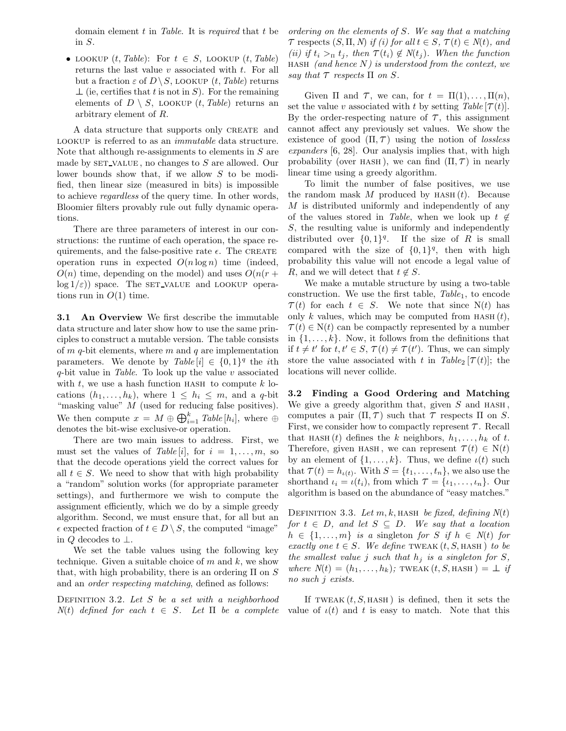domain element  $t$  in Table. It is required that  $t$  be in S.

• LOOKUP  $(t, Table)$ : For  $t \in S$ , LOOKUP  $(t, Table)$ returns the last value  $v$  associated with  $t$ . For all but a fraction  $\varepsilon$  of  $D \setminus S$ , LOOKUP  $(t, Table)$  returns  $\perp$  (ie, certifies that t is not in S). For the remaining elements of  $D \setminus S$ , LOOKUP  $(t, Table)$  returns an arbitrary element of R.

A data structure that supports only CREATE and LOOKUP is referred to as an *immutable* data structure. Note that although re-assignments to elements in  $S$  are made by  $SET_YALUE$ , no changes to S are allowed. Our lower bounds show that, if we allow S to be modified, then linear size (measured in bits) is impossible to achieve regardless of the query time. In other words, Bloomier filters provably rule out fully dynamic operations.

There are three parameters of interest in our constructions: the runtime of each operation, the space requirements, and the false-positive rate  $\epsilon$ . The CREATE operation runs in expected  $O(n \log n)$  time (indeed,  $O(n)$  time, depending on the model) and uses  $O(n(r +$  $log 1/\epsilon$ ) space. The set value and LOOKUP operations run in  $O(1)$  time.

3.1 An Overview We first describe the immutable data structure and later show how to use the same principles to construct a mutable version. The table consists of  $m$   $q$ -bit elements, where  $m$  and  $q$  are implementation parameters. We denote by  $Table[i] \in \{0,1\}^q$  the *i*th  $q$ -bit value in Table. To look up the value v associated with  $t$ , we use a hash function HASH to compute  $k$  locations  $(h_1, \ldots, h_k)$ , where  $1 \leq h_i \leq m$ , and a q-bit "masking value" M (used for reducing false positives). We then compute  $x = M \oplus \bigoplus_{i=1}^{k} Table[h_i]$ , where  $\oplus$ denotes the bit-wise exclusive-or operation.

There are two main issues to address. First, we must set the values of Table [i], for  $i = 1, \ldots, m$ , so that the decode operations yield the correct values for all  $t \in S$ . We need to show that with high probability a "random" solution works (for appropriate parameter settings), and furthermore we wish to compute the assignment efficiently, which we do by a simple greedy algorithm. Second, we must ensure that, for all but an  $\epsilon$  expected fraction of  $t \in D \setminus S$ , the computed "image" in  $Q$  decodes to  $\perp$ .

We set the table values using the following key technique. Given a suitable choice of  $m$  and  $k$ , we show that, with high probability, there is an ordering  $\Pi$  on  $S$ and an order respecting matching, defined as follows:

DEFINITION 3.2. Let  $S$  be a set with a neighborhood  $N(t)$  defined for each  $t \in S$ . Let  $\Pi$  be a complete ordering on the elements of S. We say that a matching  $\tau$  respects  $(S, \Pi, N)$  if (i) for all  $t \in S$ ,  $\tau(t) \in N(t)$ , and (ii) if  $t_i >_\Pi t_j$ , then  $\tau(t_i) \notin N(t_j)$ . When the function HASH (and hence  $N$ ) is understood from the context, we say that  $\tau$  respects  $\Pi$  on  $S$ .

Given  $\Pi$  and  $\mathcal{T}$ , we can, for  $t = \Pi(1), \ldots, \Pi(n)$ , set the value v associated with t by setting Table  $[\tau(t)]$ . By the order-respecting nature of  $\tau$ , this assignment cannot affect any previously set values. We show the existence of good  $(\Pi, \mathcal{T})$  using the notion of lossless expanders [6, 28]. Our analysis implies that, with high probability (over HASH), we can find  $(\Pi, \mathcal{T})$  in nearly linear time using a greedy algorithm.

To limit the number of false positives, we use the random mask  $M$  produced by HASH $(t)$ . Because M is distributed uniformly and independently of any of the values stored in Table, when we look up  $t \notin$ S, the resulting value is uniformly and independently distributed over  $\{0,1\}^q$ . If the size of R is small compared with the size of  $\{0,1\}^q$ , then with high probability this value will not encode a legal value of R, and we will detect that  $t \notin S$ .

We make a mutable structure by using a two-table construction. We use the first table,  $Table_1$ , to encode  $\mathcal{T}(t)$  for each  $t \in S$ . We note that since N(t) has only k values, which may be computed from  $HASH(t)$ ,  $\mathcal{T}(t) \in N(t)$  can be compactly represented by a number in  $\{1, \ldots, k\}$ . Now, it follows from the definitions that if  $t \neq t'$  for  $t, t' \in S$ ,  $\tau(t) \neq \tau(t')$ . Thus, we can simply store the value associated with t in Table<sub>2</sub> [ $\tau(t)$ ]; the locations will never collide.

3.2 Finding a Good Ordering and Matching We give a greedy algorithm that, given  $S$  and  $HASH$ , computes a pair  $(\Pi, \mathcal{T})$  such that  $\mathcal{T}$  respects  $\Pi$  on S. First, we consider how to compactly represent  $\tau$ . Recall that HASH (t) defines the k neighbors,  $h_1, \ldots, h_k$  of t. Therefore, given HASH, we can represent  $\mathcal{T}(t) \in N(t)$ by an element of  $\{1, \ldots, k\}$ . Thus, we define  $\iota(t)$  such that  $\tau(t) = h_{\iota(t)}$ . With  $S = \{t_1, \ldots, t_n\}$ , we also use the shorthand  $\iota_i = \iota(t_i)$ , from which  $\mathcal{T} = {\iota_1, \ldots, \iota_n}$ . Our algorithm is based on the abundance of "easy matches."

DEFINITION 3.3. Let  $m, k$ , hash be fixed, defining  $N(t)$ for  $t \in D$ , and let  $S \subseteq D$ . We say that a location  $h \in \{1, \ldots, m\}$  is a singleton for S if  $h \in N(t)$  for exactly one  $t \in S$ . We define TWEAK  $(t, S, HASH)$  to be the smallest value j such that  $h_i$  is a singleton for S, where  $N(t) = (h_1, \ldots, h_k)$ ; TWEAK $(t, S, HASH) = \perp$  if no such j exists.

If TWEAK  $(t, S, HASH)$  is defined, then it sets the value of  $\iota(t)$  and t is easy to match. Note that this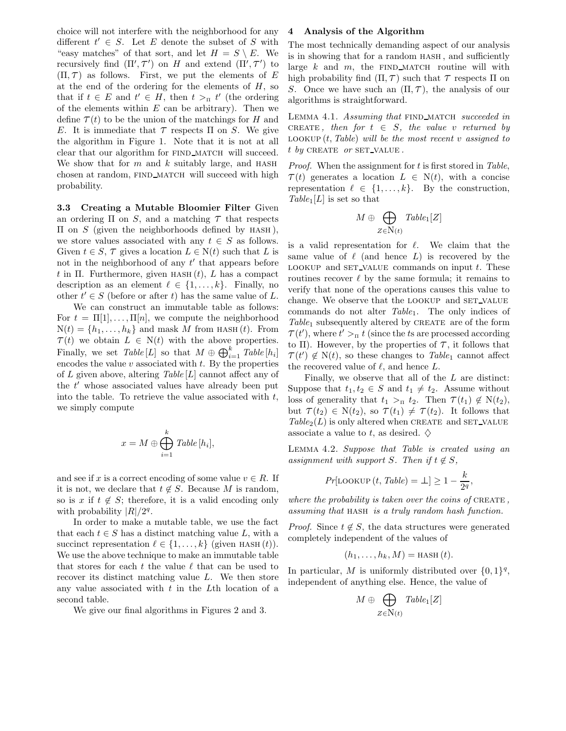choice will not interfere with the neighborhood for any different  $t' \in S$ . Let E denote the subset of S with "easy matches" of that sort, and let  $H = S \setminus E$ . We easy matches of that sort, and let  $H = B \setminus E$ . We<br>recursively find  $(\Pi', \tau')$  on H and extend  $(\Pi', \tau')$  to  $(\Pi, \mathcal{T})$  as follows. First, we put the elements of E at the end of the ordering for the elements of  $H$ , so that if  $t \in E$  and  $t' \in H$ , then  $t >_{\Pi} t'$  (the ordering of the elements within  $E$  can be arbitrary). Then we define  $\mathcal{T}(t)$  to be the union of the matchings for H and E. It is immediate that  $\tau$  respects  $\Pi$  on S. We give the algorithm in Figure 1. Note that it is not at all clear that our algorithm for FIND\_MATCH will succeed. We show that for  $m$  and  $k$  suitably large, and HASH chosen at random, FIND MATCH will succeed with high probability.

3.3 Creating a Mutable Bloomier Filter Given an ordering  $\Pi$  on  $S$ , and a matching  $\tau$  that respects  $\Pi$  on  $S$  (given the neighborhoods defined by HASH), we store values associated with any  $t \in S$  as follows. Given  $t \in S$ ,  $\tau$  gives a location  $L \in N(t)$  such that L is not in the neighborhood of any  $t'$  that appears before t in Π. Furthermore, given  $HASH(t)$ , L has a compact description as an element  $\ell \in \{1, \ldots, k\}$ . Finally, no other  $t' \in S$  (before or after t) has the same value of L.

We can construct an immutable table as follows: For  $t = \Pi[1], \ldots, \Pi[n]$ , we compute the neighborhood  $N(t) = \{h_1, \ldots, h_k\}$  and mask M from HASH (t). From  $\mathcal{T}(t)$  we obtain  $L \in N(t)$  with the above properties. Finally, we set  $Table [L]$  so that  $M \oplus \bigoplus_{i=1}^{k} Table [h_i]$ encodes the value  $v$  associated with  $t$ . By the properties of L given above, altering  $Table [L]$  cannot affect any of the  $t'$  whose associated values have already been put into the table. To retrieve the value associated with  $t$ , we simply compute

$$
x = M \oplus \bigoplus_{i=1}^{k} Table[h_i],
$$

and see if x is a correct encoding of some value  $v \in R$ . If it is not, we declare that  $t \notin S$ . Because M is random, so is x if  $t \notin S$ ; therefore, it is a valid encoding only with probability  $|R|/2<sup>q</sup>$ .

In order to make a mutable table, we use the fact that each  $t \in S$  has a distinct matching value L, with a succinct representation  $\ell \in \{1, \ldots, k\}$  (given HASH  $(t)$ ). We use the above technique to make an immutable table that stores for each t the value  $\ell$  that can be used to recover its distinct matching value L. We then store any value associated with  $t$  in the Lth location of a second table.

We give our final algorithms in Figures 2 and 3.

#### 4 Analysis of the Algorithm

The most technically demanding aspect of our analysis is in showing that for a random hash , and sufficiently large  $k$  and  $m$ , the FIND MATCH routine will with high probability find  $(\Pi, \mathcal{T})$  such that  $\mathcal{T}$  respects  $\Pi$  on S. Once we have such an  $(\Pi, \mathcal{T})$ , the analysis of our algorithms is straightforward.

LEMMA 4.1. Assuming that FIND\_MATCH succeeded in CREATE, then for  $t \in S$ , the value v returned by LOOKUP  $(t, Table)$  will be the most recent v assigned to  $t$  by CREATE or SET\_VALUE.

*Proof.* When the assignment for  $t$  is first stored in Table,  $\mathcal{T}(t)$  generates a location  $L \in N(t)$ , with a concise representation  $\ell \in \{1, \ldots, k\}$ . By the construction,  $Table_1[L]$  is set so that

$$
M \oplus \bigoplus_{Z \in N(t)} \mathit{Table}_1[Z]
$$

is a valid representation for  $\ell$ . We claim that the same value of  $\ell$  (and hence L) is recovered by the LOOKUP and SET VALUE commands on input  $t$ . These routines recover  $\ell$  by the same formula; it remains to verify that none of the operations causes this value to change. We observe that the LOOKUP and SET\_VALUE commands do not alter  $Table_1$ . The only indices of Table<sub>1</sub> subsequently altered by CREATE are of the form  $\tau(t')$ , where  $t' >$ <sub>π</sub> t (since the ts are processed according to Π). However, by the properties of  $\tau$ , it follows that  $\tau(t') \notin N(t)$ , so these changes to *Table*<sub>1</sub> cannot affect the recovered value of  $\ell$ , and hence  $L$ .

Finally, we observe that all of the L are distinct: Suppose that  $t_1, t_2 \in S$  and  $t_1 \neq t_2$ . Assume without loss of generality that  $t_1 >_{\Pi} t_2$ . Then  $\tau(t_1) \notin N(t_2)$ , but  $\tau(t_2) \in N(t_2)$ , so  $\tau(t_1) \neq \tau(t_2)$ . It follows that  $Table_2(L)$  is only altered when CREATE and SET\_VALUE associate a value to t, as desired.  $\diamondsuit$ 

Lemma 4.2. Suppose that Table is created using an assignment with support S. Then if  $t \notin S$ ,

$$
Pr[\text{LOOKUP}(t, \text{Table}) = \bot] \ge 1 - \frac{k}{2^q},
$$

where the probability is taken over the coins of CREATE. assuming that hash is a truly random hash function.

*Proof.* Since  $t \notin S$ , the data structures were generated completely independent of the values of

$$
(h_1,\ldots,h_k,M)=\operatorname{HASH}(t).
$$

In particular, M is uniformly distributed over  $\{0,1\}^q$ , independent of anything else. Hence, the value of

$$
M \oplus \bigoplus_{Z \in \mathbb{N}(t)} \mathit{Table}_1[Z]
$$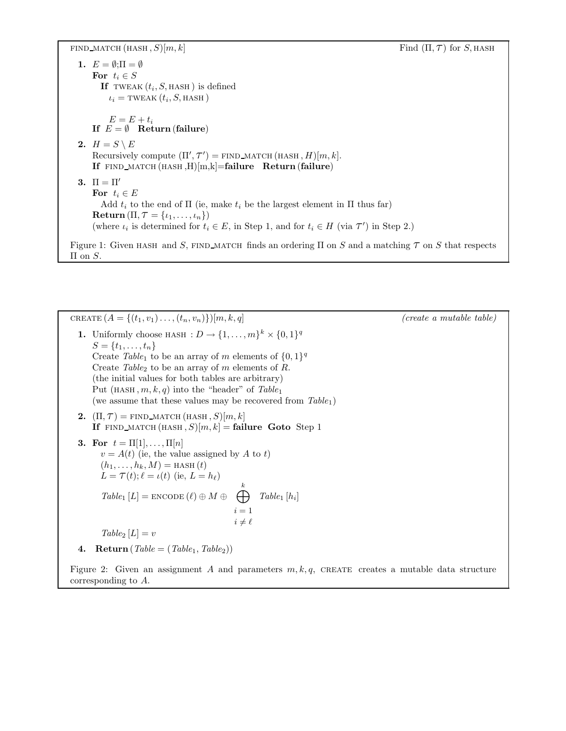FIND\_MATCH  $(HASH, S)[m, k]$  Find  $(\Pi, \mathcal{T})$  for S, HASH

1.  $E = \emptyset; \Pi = \emptyset$ For  $t_i \in S$ If TWEAK  $(t_i, S, \text{HASH})$  is defined  $\iota_i$  = tweak  $(t_i, S, HASH)$  $E = E + t_i$ If  $E = \emptyset$  Return (failure) 2.  $H = S \setminus E$ Recursively compute  $(\Pi', \tau') = \text{FIND\_MATOR}(\text{HASH}, H)[m, k].$ If  $FIND\_MATOR(HASH, H)[m,k]=$ failure Return (failure) 3.  $\Pi = \Pi'$ For  $t_i \in E$ Add  $t_i$  to the end of  $\Pi$  (ie, make  $t_i$  be the largest element in  $\Pi$  thus far)  $\textbf{Return}(\Pi, \mathcal{T} = \{\iota_1, \ldots, \iota_n\})$ (where  $\iota_i$  is determined for  $t_i \in E$ , in Step 1, and for  $t_i \in H$  (via  $\mathcal{T}'$ ) in Step 2.) Figure 1: Given HASH and S, FIND MATCH finds an ordering  $\Pi$  on S and a matching  $\tau$  on S that respects  $\Pi$  on  $S$ .

CREATE  $(A = \{(t_1, v_1), \ldots, (t_n, v_n)\})[m, k, q]$  (create a mutable table) **1.** Uniformly choose HASH :  $D \to \{1, ..., m\}^k \times \{0, 1\}^q$  $S = \{t_1, \ldots, t_n\}$ Create Table<sub>1</sub> to be an array of m elements of  $\{0,1\}^q$ Create Table<sub>2</sub> to be an array of m elements of R. (the initial values for both tables are arbitrary) Put  $(HASH, m, k, q)$  into the "header" of Table<sub>1</sub> (we assume that these values may be recovered from  $Table_1$ ) 2.  $(\Pi, \mathcal{T}) = \text{FIND\_MATOR}$  (HASH, S) $[m, k]$ If FIND MATCH  $(HASH, S)[m, k] =$  failure Goto Step 1 3. For  $t = \Pi[1], \ldots, \Pi[n]$  $v = A(t)$  (ie, the value assigned by A to t)  $(h_1, ..., h_k, M) =$  HASH $(t)$  $L = \mathcal{T}(t); \ell = \iota(t)$  (ie,  $L = h_{\ell}$ )  $Table_1 [L] = \texttt{ENCODE} (\ell) \oplus M \oplus \bigoplus^k$  $i = 1$  $i \neq \ell$  $Table_1[h_i]$  $Table_2 [L] = v$ 

4. Return ( $Table = (Table_1, Table_2)$ )

Figure 2: Given an assignment A and parameters  $m, k, q$ , CREATE creates a mutable data structure corresponding to A.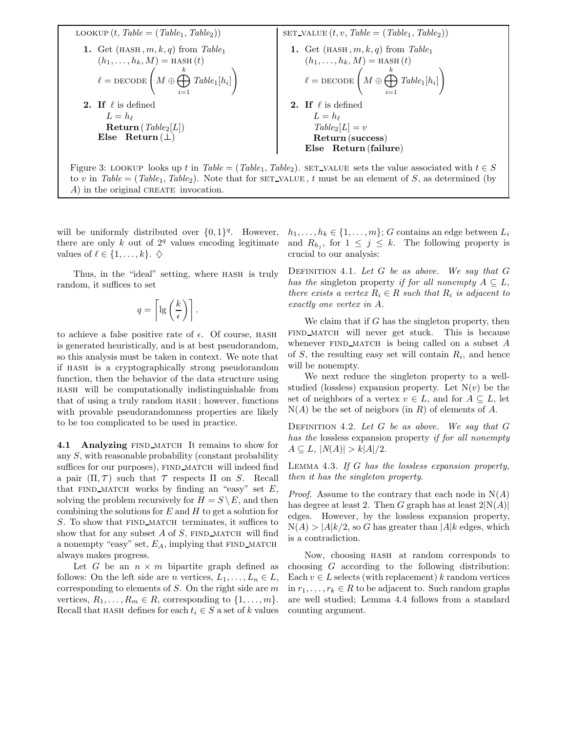

will be uniformly distributed over  $\{0,1\}^q$ . However, there are only  $k$  out of  $2<sup>q</sup>$  values encoding legitimate values of  $\ell \in \{1, \ldots, k\}$ .  $\diamondsuit$ 

Thus, in the "ideal" setting, where HASH is truly random, it suffices to set

$$
q = \left\lceil \lg\left(\frac{k}{\epsilon}\right) \right\rceil.
$$

to achieve a false positive rate of  $\epsilon$ . Of course, HASH is generated heuristically, and is at best pseudorandom, so this analysis must be taken in context. We note that if hash is a cryptographically strong pseudorandom function, then the behavior of the data structure using hash will be computationally indistinguishable from that of using a truly random hash ; however, functions with provable pseudorandomness properties are likely to be too complicated to be used in practice.

4.1 Analyzing FIND MATCH It remains to show for any S, with reasonable probability (constant probability suffices for our purposes), FIND MATCH will indeed find a pair  $(\Pi, \mathcal{T})$  such that  $\mathcal{T}$  respects  $\Pi$  on S. Recall that FIND MATCH works by finding an "easy" set  $E$ , solving the problem recursively for  $H = S \setminus E$ , and then combining the solutions for  $E$  and  $H$  to get a solution for  $S$ . To show that FIND MATCH terminates, it suffices to show that for any subset  $A$  of  $S$ , FIND MATCH will find a nonempty "easy" set,  $E_A$ , implying that FIND MATCH always makes progress.

Let G be an  $n \times m$  bipartite graph defined as follows: On the left side are *n* vertices,  $L_1, \ldots, L_n \in L$ , corresponding to elements of  $S$ . On the right side are  $m$ vertices,  $R_1, \ldots, R_m \in R$ , corresponding to  $\{1, \ldots, m\}$ . Recall that HASH defines for each  $t_i \in S$  a set of k values  $h_1, \ldots, h_k \in \{1, \ldots, m\}; G$  contains an edge between  $L_i$ and  $R_{h_j}$ , for  $1 \leq j \leq k$ . The following property is crucial to our analysis:

DEFINITION 4.1. Let  $G$  be as above. We say that  $G$ has the singleton property if for all nonempty  $A \subseteq L$ , there exists a vertex  $R_i \in R$  such that  $R_i$  is adjacent to exactly one vertex in A.

We claim that if  $G$  has the singleton property, then find match will never get stuck. This is because whenever FIND MATCH is being called on a subset  $A$ of  $S$ , the resulting easy set will contain  $R_i$ , and hence will be nonempty.

We next reduce the singleton property to a wellstudied (lossless) expansion property. Let  $N(v)$  be the set of neighbors of a vertex  $v \in L$ , and for  $A \subseteq L$ , let  $N(A)$  be the set of neigbors (in R) of elements of A.

DEFINITION 4.2. Let  $G$  be as above. We say that  $G$ has the lossless expansion property if for all nonempty  $A \subseteq L$ ,  $|N(A)| > k|A|/2$ .

LEMMA  $4.3.$  If G has the lossless expansion property, then it has the singleton property.

*Proof.* Assume to the contrary that each node in  $N(A)$ has degree at least 2. Then G graph has at least  $2|N(A)|$ edges. However, by the lossless expansion property,  $N(A) > |A|k/2$ , so G has greater than  $|A|k$  edges, which is a contradiction.

Now, choosing hash at random corresponds to choosing G according to the following distribution: Each  $v \in L$  selects (with replacement) k random vertices in  $r_1, \ldots, r_k \in R$  to be adjacent to. Such random graphs are well studied; Lemma 4.4 follows from a standard counting argument.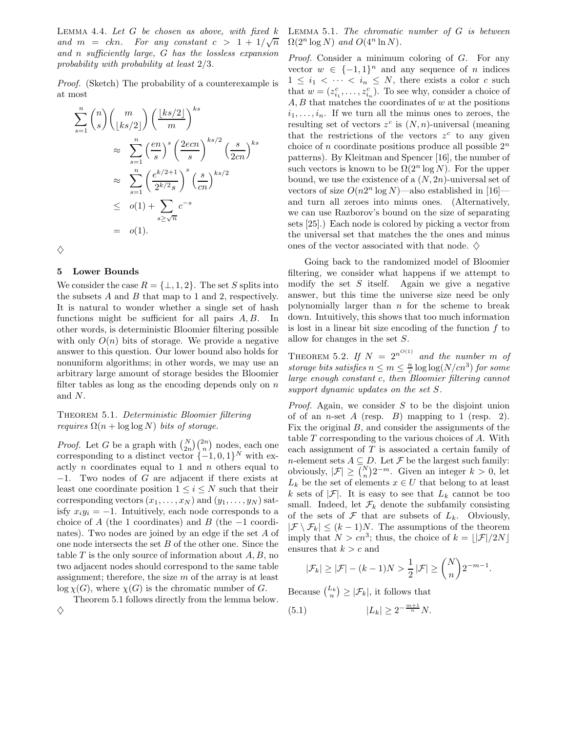LEMMA 4.4. Let  $G$  be chosen as above, with fixed  $k$ and  $m = ckn$ . For any constant  $c > 1 + 1/\sqrt{n}$ and n sufficiently large, G has the lossless expansion probability with probability at least 2/3.

Proof. (Sketch) The probability of a counterexample is at most

$$
\sum_{s=1}^{n} {n \choose s} {m \choose \lfloor ks/2 \rfloor} { \lfloor ks/2 \rfloor \choose m}^{ks}
$$
  
\n
$$
\approx \sum_{s=1}^{n} {e n \choose s}^{s} {2e c n \choose s}^{ks/2} {s \choose 2cn}^{ks}
$$
  
\n
$$
\approx \sum_{s=1}^{n} {e^{k/2+1} \choose 2^{k/2} s}^{s} {s \choose cn}^{ks/2}
$$
  
\n
$$
\leq o(1) + \sum_{s \geq \sqrt{n}} c^{-s}
$$
  
\n
$$
= o(1).
$$

 $\Diamond$ 

#### 5 Lower Bounds

We consider the case  $R = \{\perp, 1, 2\}$ . The set S splits into the subsets  $A$  and  $B$  that map to 1 and 2, respectively. It is natural to wonder whether a single set of hash functions might be sufficient for all pairs  $A, B$ . In other words, is deterministic Bloomier filtering possible with only  $O(n)$  bits of storage. We provide a negative answer to this question. Our lower bound also holds for nonuniform algorithms; in other words, we may use an arbitrary large amount of storage besides the Bloomier filter tables as long as the encoding depends only on  $n$ and N.

## THEOREM 5.1. Deterministic Bloomier filtering *requires*  $\Omega(n + \log \log N)$  *bits of storage.*

*Proof.* Let G be a graph with  $\binom{N}{2n}\binom{2n}{n}$  nodes, each one corresponding to a distinct vector  $\{-1,0,1\}^N$  with exactly n coordinates equal to 1 and n others equal to −1. Two nodes of G are adjacent if there exists at least one coordinate position  $1 \leq i \leq N$  such that their corresponding vectors  $(x_1, \ldots, x_N)$  and  $(y_1, \ldots, y_N)$  satisfy  $x_i y_i = -1$ . Intuitively, each node corresponds to a choice of A (the 1 coordinates) and B (the  $-1$  coordinates). Two nodes are joined by an edge if the set A of one node intersects the set B of the other one. Since the table  $T$  is the only source of information about  $A, B$ , no two adjacent nodes should correspond to the same table assignment; therefore, the size  $m$  of the array is at least  $\log \chi(G)$ , where  $\chi(G)$  is the chromatic number of G.

Theorem 5.1 follows directly from the lemma below.  $\Diamond$ 

LEMMA  $5.1$ . The chromatic number of  $G$  is between  $\Omega(2^n \log N)$  and  $O(4^n \ln N)$ .

Proof. Consider a minimum coloring of G. For any vector  $w \in \{-1,1\}^n$  and any sequence of n indices  $1 \leq i_1 < \cdots < i_n \leq N$ , there exists a color c such that  $w = (z_{i_1}^c, \ldots, z_{i_n}^c)$ . To see why, consider a choice of  $A, B$  that matches the coordinates of w at the positions  $i_1, \ldots, i_n$ . If we turn all the minus ones to zeroes, the resulting set of vectors  $z^c$  is  $(N, n)$ -universal (meaning that the restrictions of the vectors  $z^c$  to any given choice of n coordinate positions produce all possible  $2^n$ patterns). By Kleitman and Spencer [16], the number of such vectors is known to be  $\Omega(2^n \log N)$ . For the upper bound, we use the existence of a  $(N, 2n)$ -universal set of vectors of size  $O(n2^n \log N)$ —also established in [16] and turn all zeroes into minus ones. (Alternatively, we can use Razborov's bound on the size of separating sets [25].) Each node is colored by picking a vector from the universal set that matches the the ones and minus ones of the vector associated with that node.  $\diamondsuit$ 

Going back to the randomized model of Bloomier filtering, we consider what happens if we attempt to modify the set  $S$  itself. Again we give a negative answer, but this time the universe size need be only polynomially larger than  $n$  for the scheme to break down. Intuitively, this shows that too much information is lost in a linear bit size encoding of the function f to allow for changes in the set S.

THEOREM 5.2. If  $N = 2^{n^{O(1)}}$  and the number m of storage bits satisfies  $n \leq m \leq \frac{n}{c} \log \log (N/cn^3)$  for some large enough constant c, then Bloomier filtering cannot support dynamic updates on the set S.

*Proof.* Again, we consider  $S$  to be the disjoint union of of an *n*-set  $A$  (resp.  $B$ ) mapping to 1 (resp. 2). Fix the original B, and consider the assignments of the table  $T$  corresponding to the various choices of  $A$ . With each assignment of  $T$  is associated a certain family of *n*-element sets  $A \subseteq D$ . Let  $\mathcal F$  be the largest such family: obviously,  $|\mathcal{F}| \geq {N \choose n} 2^{-m}$ . Given an integer  $k > 0$ , let  $L_k$  be the set of elements  $x \in U$  that belong to at least k sets of  $|\mathcal{F}|$ . It is easy to see that  $L_k$  cannot be too small. Indeed, let  $\mathcal{F}_k$  denote the subfamily consisting of the sets of  $\mathcal F$  that are subsets of  $L_k$ . Obviously,  $|\mathcal{F} \setminus \mathcal{F}_k| \leq (k-1)N$ . The assumptions of the theorem imply that  $N > cn^3$ ; thus, the choice of  $k = \lfloor |\mathcal{F}|/2N \rfloor$ ensures that  $k > c$  and

$$
|\mathcal{F}_k| \ge |\mathcal{F}| - (k-1)N > \frac{1}{2} |\mathcal{F}| \ge \binom{N}{n} 2^{-m-1}.
$$

Because  $\binom{L_k}{n} \geq |\mathcal{F}_k|$ , it follows that

(5.1)  $|L_k| \geq 2^{-\frac{m+1}{n}} N.$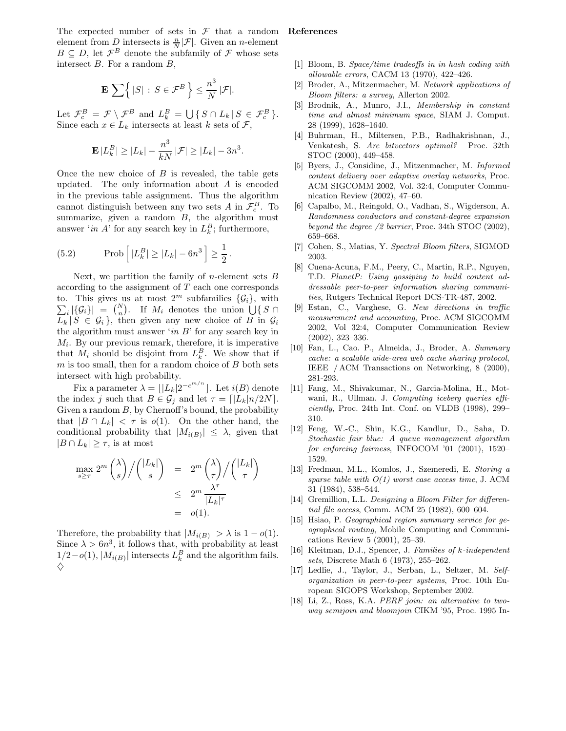The expected number of sets in  $\mathcal F$  that a random element from D intersects is  $\frac{n}{N}|\mathcal{F}|$ . Given an *n*-element  $B \subseteq D$ , let  $\mathcal{F}^B$  denote the subfamily of  $\mathcal F$  whose sets intersect  $B$ . For a random  $B$ ,

$$
\mathbf{E}\,\sum\Bigl\{\,|S|\,:\,S\in\mathcal{F}^B\,\Bigr\}\leq \frac{n^3}{N}\,|\mathcal{F}|.
$$

Let  $\mathcal{F}_c^B = \mathcal{F} \setminus \mathcal{F}^B$  and  $L_k^B = \bigcup \{ S \cap L_k | S \in \mathcal{F}_c^B \}.$ Since each  $x \in L_k$  intersects at least k sets of  $\mathcal{F}$ ,

$$
\mathbf{E}\,|L_k^B|\geq |L_k|-\frac{n^3}{kN}\,|\mathcal{F}|\geq |L_k|-3n^3
$$

.

Once the new choice of  $B$  is revealed, the table gets updated. The only information about A is encoded in the previous table assignment. Thus the algorithm cannot distinguish between any two sets  $A$  in  $\mathcal{F}_c^B$ . To summarize, given a random  $B$ , the algorithm must answer '*in A*' for any search key in  $L_k^B$ ; furthermore,

(5.2) Prob 
$$
\left| |L_k^B| \ge |L_k| - 6n^3 \right| \ge \frac{1}{2}
$$
.

Next, we partition the family of *n*-element sets  $B$ according to the assignment of T each one corresponds to. This gives us at most  $2^m$  subfamilies  $\{\mathcal{G}_i\}$ , with  $\sum_i |\{\mathcal{G}_i\}| = {N \choose n}$ . If  $M_i$  denotes the union  $\bigcup \{ S \cap$  $L_k | S \in \mathcal{G}_i$ , then given any new choice of B in  $\mathcal{G}_i$ the algorithm must answer 'in  $B$ ' for any search key in  $M_i$ . By our previous remark, therefore, it is imperative that  $M_i$  should be disjoint from  $L_k^B$ . We show that if  $m$  is too small, then for a random choice of  $B$  both sets intersect with high probability.

Fix a parameter  $\lambda = \lfloor |L_k| 2^{-c^{m/n}} \rfloor$ . Let  $i(B)$  denote the index j such that  $B \in \mathcal{G}_j$  and let  $\tau = \lfloor |L_k|n/2N \rfloor$ . Given a random  $B$ , by Chernoff's bound, the probability that  $|B \cap L_k| < \tau$  is  $o(1)$ . On the other hand, the conditional probability that  $|M_{i(B)}| \leq \lambda$ , given that  $|B \cap L_k| \geq \tau$ , is at most

$$
\max_{s \ge \tau} 2^m \binom{\lambda}{s} / \binom{|L_k|}{s} = 2^m \binom{\lambda}{\tau} / \binom{|L_k|}{\tau}
$$

$$
\le 2^m \frac{\lambda^{\tau}}{|L_k|^{\tau}}
$$

$$
= o(1).
$$

Therefore, the probability that  $|M_{i(B)}| > \lambda$  is  $1 - o(1)$ . Since  $\lambda > 6n^3$ , it follows that, with probability at least  $1/2-o(1), |M_{i(B)}|$  intersects  $L_k^B$  and the algorithm fails.  $\Diamond$ 

#### References

- [1] Bloom, B. Space/time tradeoffs in in hash coding with allowable errors, CACM 13 (1970), 422–426.
- [2] Broder, A., Mitzenmacher, M. Network applications of Bloom filters: a survey, Allerton 2002.
- [3] Brodnik, A., Munro, J.I., Membership in constant time and almost minimum space, SIAM J. Comput. 28 (1999), 1628–1640.
- [4] Buhrman, H., Miltersen, P.B., Radhakrishnan, J., Venkatesh, S. Are bitvectors optimal? Proc. 32th STOC (2000), 449–458.
- [5] Byers, J., Considine, J., Mitzenmacher, M. Informed content delivery over adaptive overlay networks, Proc. ACM SIGCOMM 2002, Vol. 32:4, Computer Communication Review (2002), 47–60.
- [6] Capalbo, M., Reingold, O., Vadhan, S., Wigderson, A. Randomness conductors and constant-degree expansion beyond the degree /2 barrier, Proc. 34th STOC (2002), 659–668.
- [7] Cohen, S., Matias, Y. Spectral Bloom filters, SIGMOD 2003.
- [8] Cuena-Acuna, F.M., Peery, C., Martin, R.P., Nguyen, T.D. PlanetP: Using gossiping to build content addressable peer-to-peer information sharing communities, Rutgers Technical Report DCS-TR-487, 2002.
- [9] Estan, C., Varghese, G. New directions in traffic measurement and accounting, Proc. ACM SIGCOMM 2002, Vol 32:4, Computer Communication Review (2002), 323–336.
- [10] Fan, L., Cao. P., Almeida, J., Broder, A. Summary cache: a scalable wide-area web cache sharing protocol, IEEE / ACM Transactions on Networking, 8 (2000), 281-293.
- [11] Fang, M., Shivakumar, N., Garcia-Molina, H., Motwani, R., Ullman. J. Computing iceberg queries efficiently, Proc. 24th Int. Conf. on VLDB (1998), 299– 310.
- [12] Feng, W.-C., Shin, K.G., Kandlur, D., Saha, D. Stochastic fair blue: A queue management algorithm for enforcing fairness, INFOCOM '01 (2001), 1520– 1529.
- [13] Fredman, M.L., Komlos, J., Szemeredi, E. Storing a sparse table with  $O(1)$  worst case access time, J. ACM 31 (1984), 538–544.
- [14] Gremillion, L.L. Designing a Bloom Filter for differential file access, Comm. ACM 25 (1982), 600–604.
- [15] Hsiao, P. Geographical region summary service for geographical routing, Mobile Computing and Communications Review 5 (2001), 25–39.
- [16] Kleitman, D.J., Spencer, J. Families of k-independent sets, Discrete Math 6 (1973), 255–262.
- [17] Ledlie, J., Taylor, J., Serban, L., Seltzer, M. Selforganization in peer-to-peer systems, Proc. 10th European SIGOPS Workshop, September 2002.
- [18] Li, Z., Ross, K.A. *PERF join: an alternative to two*way semijoin and bloomjoin CIKM '95, Proc. 1995 In-